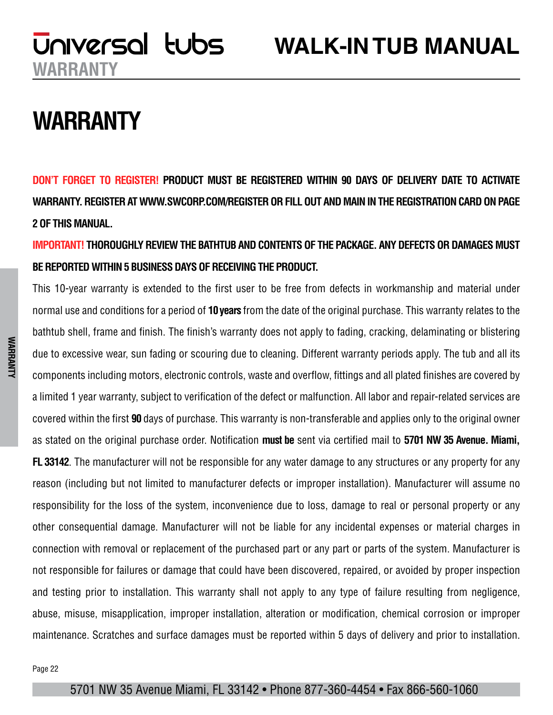## **WARRANTY**

**DON'T FORGET TO REGISTER! PRODUCT MUST BE REGISTERED WITHIN 90 DAYS OF DELIVERY DATE TO ACTIVATE WARRANTY. REGISTER AT WWW.SWCORP.COM/REGISTER OR FILL OUT AND MAIN IN THE REGISTRATION CARD ON PAGE 2 OF THIS MANUAL.** 

**IMPORTANT! THOROUGHLY REVIEW THE BATHTUB AND CONTENTS OF THE PACKAGE. ANY DEFECTS OR DAMAGES MUST BE REPORTED WITHIN 5 BUSINESS DAYS OF RECEIVING THE PRODUCT.**

This 10-year warranty is extended to the first user to be free from defects in workmanship and material under normal use and conditions for a period of **10 years** from the date of the original purchase. This warranty relates to the bathtub shell, frame and finish. The finish's warranty does not apply to fading, cracking, delaminating or blistering due to excessive wear, sun fading or scouring due to cleaning. Different warranty periods apply. The tub and all its components including motors, electronic controls, waste and overflow, fittings and all plated finishes are covered by a limited 1 year warranty, subject to verification of the defect or malfunction. All labor and repair-related services are covered within the first **90** days of purchase. This warranty is non-transferable and applies only to the original owner as stated on the original purchase order. Notification **must be** sent via certified mail to **5701 NW 35 Avenue. Miami, FL 33142**. The manufacturer will not be responsible for any water damage to any structures or any property for any reason (including but not limited to manufacturer defects or improper installation). Manufacturer will assume no responsibility for the loss of the system, inconvenience due to loss, damage to real or personal property or any other consequential damage. Manufacturer will not be liable for any incidental expenses or material charges in connection with removal or replacement of the purchased part or any part or parts of the system. Manufacturer is not responsible for failures or damage that could have been discovered, repaired, or avoided by proper inspection and testing prior to installation. This warranty shall not apply to any type of failure resulting from negligence, abuse, misuse, misapplication, improper installation, alteration or modification, chemical corrosion or improper maintenance. Scratches and surface damages must be reported within 5 days of delivery and prior to installation.

#### 5701 NW 35 Avenue Miami, FL 33142 • Phone 877-360-4454 • Fax 866-560-1060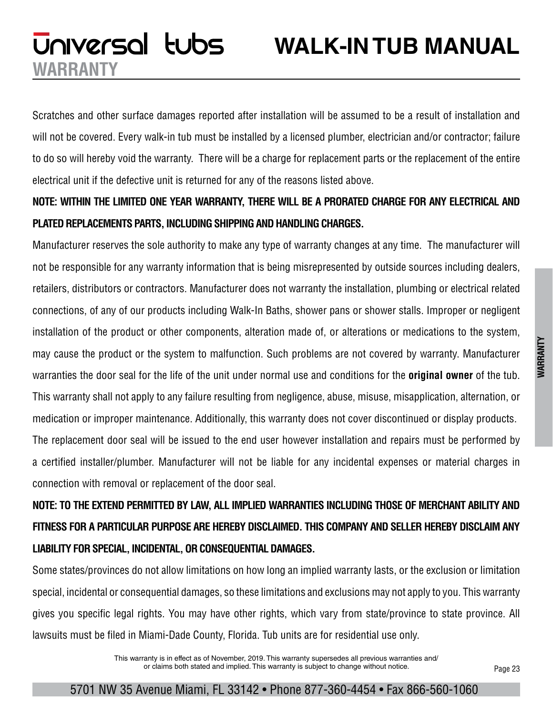## **WALK-IN TUB MANUAL**

Scratches and other surface damages reported after installation will be assumed to be a result of installation and will not be covered. Every walk-in tub must be installed by a licensed plumber, electrician and/or contractor; failure to do so will hereby void the warranty. There will be a charge for replacement parts or the replacement of the entire electrical unit if the defective unit is returned for any of the reasons listed above.

**WARRANTY**

Universal tubs

### **NOTE: WITHIN THE LIMITED ONE YEAR WARRANTY, THERE WILL BE A PRORATED CHARGE FOR ANY ELECTRICAL AND PLATED REPLACEMENTS PARTS, INCLUDING SHIPPING AND HANDLING CHARGES.**

Manufacturer reserves the sole authority to make any type of warranty changes at any time. The manufacturer will not be responsible for any warranty information that is being misrepresented by outside sources including dealers, retailers, distributors or contractors. Manufacturer does not warranty the installation, plumbing or electrical related connections, of any of our products including Walk-In Baths, shower pans or shower stalls. Improper or negligent installation of the product or other components, alteration made of, or alterations or medications to the system, may cause the product or the system to malfunction. Such problems are not covered by warranty. Manufacturer warranties the door seal for the life of the unit under normal use and conditions for the **original owner** of the tub. This warranty shall not apply to any failure resulting from negligence, abuse, misuse, misapplication, alternation, or medication or improper maintenance. Additionally, this warranty does not cover discontinued or display products. The replacement door seal will be issued to the end user however installation and repairs must be performed by a certified installer/plumber. Manufacturer will not be liable for any incidental expenses or material charges in connection with removal or replacement of the door seal.

### **NOTE: TO THE EXTEND PERMITTED BY LAW, ALL IMPLIED WARRANTIES INCLUDING THOSE OF MERCHANT ABILITY AND FITNESS FOR A PARTICULAR PURPOSE ARE HEREBY DISCLAIMED. THIS COMPANY AND SELLER HEREBY DISCLAIM ANY LIABILITY FOR SPECIAL, INCIDENTAL, OR CONSEQUENTIAL DAMAGES.**

Some states/provinces do not allow limitations on how long an implied warranty lasts, or the exclusion or limitation special, incidental or consequential damages, so these limitations and exclusions may not apply to you. This warranty gives you specific legal rights. You may have other rights, which vary from state/province to state province. All lawsuits must be filed in Miami-Dade County, Florida. Tub units are for residential use only.

> This warranty is in effect as of November, 2019. This warranty supersedes all previous warranties and/ or claims both stated and implied. This warranty is subject to change without notice.

Page 23

#### 5701 NW 35 Avenue Miami, FL 33142 • Phone 877-360-4454 • Fax 866-560-1060